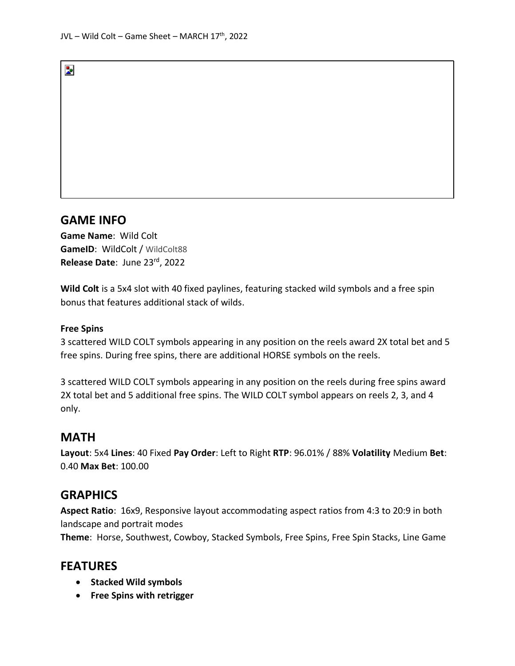## **GAME INFO**

Þ.

**Game Name**: Wild Colt GameID: WildColt / WildColt88 **Release Date**: June 23rd, 2022

**Wild Colt** is a 5x4 slot with 40 fixed paylines, featuring stacked wild symbols and a free spin bonus that features additional stack of wilds.

#### **Free Spins**

3 scattered WILD COLT symbols appearing in any position on the reels award 2X total bet and 5 free spins. During free spins, there are additional HORSE symbols on the reels.

3 scattered WILD COLT symbols appearing in any position on the reels during free spins award 2X total bet and 5 additional free spins. The WILD COLT symbol appears on reels 2, 3, and 4 only.

#### **MATH**

**Layout**: 5x4 **Lines**: 40 Fixed **Pay Order**: Left to Right **RTP**: 96.01% / 88% **Volatility** Medium **Bet**: 0.40 **Max Bet**: 100.00

### **GRAPHICS**

**Aspect Ratio**: 16x9, Responsive layout accommodating aspect ratios from 4:3 to 20:9 in both landscape and portrait modes

**Theme**: Horse, Southwest, Cowboy, Stacked Symbols, Free Spins, Free Spin Stacks, Line Game

### **FEATURES**

- **Stacked Wild symbols**
- **Free Spins with retrigger**